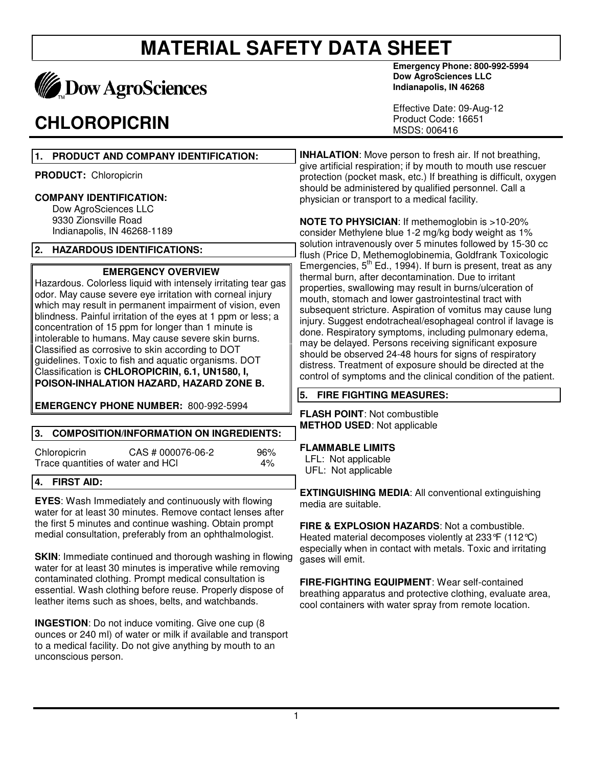

## **CHLOROPICRIN**

unconscious person.

**Emergency Phone: 800-992-5994 Dow AgroSciences LLC Indianapolis, IN 46268** 

Effective Date: 09-Aug-12 Product Code: 16651 MSDS: 006416

| 1.<br>PRODUCT AND COMPANY IDENTIFICATION:                                                                                                                                                                                                                                                                                                                                                                                                                                                                                                                                                                      | <b>INHALATION:</b> Move person to fresh air. If not breathing,                                                                                                                                                                                                                                                                                                                                                                                                                                                                                                                                                                                                                                    |  |
|----------------------------------------------------------------------------------------------------------------------------------------------------------------------------------------------------------------------------------------------------------------------------------------------------------------------------------------------------------------------------------------------------------------------------------------------------------------------------------------------------------------------------------------------------------------------------------------------------------------|---------------------------------------------------------------------------------------------------------------------------------------------------------------------------------------------------------------------------------------------------------------------------------------------------------------------------------------------------------------------------------------------------------------------------------------------------------------------------------------------------------------------------------------------------------------------------------------------------------------------------------------------------------------------------------------------------|--|
| <b>PRODUCT:</b> Chloropicrin                                                                                                                                                                                                                                                                                                                                                                                                                                                                                                                                                                                   | give artificial respiration; if by mouth to mouth use rescuer<br>protection (pocket mask, etc.) If breathing is difficult, oxygen<br>should be administered by qualified personnel. Call a<br>physician or transport to a medical facility.                                                                                                                                                                                                                                                                                                                                                                                                                                                       |  |
| <b>COMPANY IDENTIFICATION:</b><br>Dow AgroSciences LLC                                                                                                                                                                                                                                                                                                                                                                                                                                                                                                                                                         |                                                                                                                                                                                                                                                                                                                                                                                                                                                                                                                                                                                                                                                                                                   |  |
| 9330 Zionsville Road<br>Indianapolis, IN 46268-1189                                                                                                                                                                                                                                                                                                                                                                                                                                                                                                                                                            | <b>NOTE TO PHYSICIAN: If methemoglobin is &gt;10-20%</b><br>consider Methylene blue 1-2 mg/kg body weight as 1%<br>solution intravenously over 5 minutes followed by 15-30 cc                                                                                                                                                                                                                                                                                                                                                                                                                                                                                                                     |  |
| 2. HAZARDOUS IDENTIFICATIONS:                                                                                                                                                                                                                                                                                                                                                                                                                                                                                                                                                                                  | flush (Price D, Methemoglobinemia, Goldfrank Toxicologic                                                                                                                                                                                                                                                                                                                                                                                                                                                                                                                                                                                                                                          |  |
| <b>EMERGENCY OVERVIEW</b><br>Hazardous. Colorless liquid with intensely irritating tear gas<br>odor. May cause severe eye irritation with corneal injury<br>which may result in permanent impairment of vision, even<br>blindness. Painful irritation of the eyes at 1 ppm or less; a<br>concentration of 15 ppm for longer than 1 minute is<br>intolerable to humans. May cause severe skin burns.<br>Classified as corrosive to skin according to DOT<br>guidelines. Toxic to fish and aquatic organisms. DOT<br>Classification is CHLOROPICRIN, 6.1, UN1580, I,<br>POISON-INHALATION HAZARD, HAZARD ZONE B. | Emergencies, 5 <sup>th</sup> Ed., 1994). If burn is present, treat as any<br>thermal burn, after decontamination. Due to irritant<br>properties, swallowing may result in burns/ulceration of<br>mouth, stomach and lower gastrointestinal tract with<br>subsequent stricture. Aspiration of vomitus may cause lung<br>injury. Suggest endotracheal/esophageal control if lavage is<br>done. Respiratory symptoms, including pulmonary edema,<br>may be delayed. Persons receiving significant exposure<br>should be observed 24-48 hours for signs of respiratory<br>distress. Treatment of exposure should be directed at the<br>control of symptoms and the clinical condition of the patient. |  |
|                                                                                                                                                                                                                                                                                                                                                                                                                                                                                                                                                                                                                | 5.<br><b>FIRE FIGHTING MEASURES:</b>                                                                                                                                                                                                                                                                                                                                                                                                                                                                                                                                                                                                                                                              |  |
| <b>EMERGENCY PHONE NUMBER: 800-992-5994</b>                                                                                                                                                                                                                                                                                                                                                                                                                                                                                                                                                                    | <b>FLASH POINT: Not combustible</b>                                                                                                                                                                                                                                                                                                                                                                                                                                                                                                                                                                                                                                                               |  |
| 3.<br><b>COMPOSITION/INFORMATION ON INGREDIENTS:</b>                                                                                                                                                                                                                                                                                                                                                                                                                                                                                                                                                           | <b>METHOD USED: Not applicable</b>                                                                                                                                                                                                                                                                                                                                                                                                                                                                                                                                                                                                                                                                |  |
| 96%<br>Chloropicrin<br>CAS # 000076-06-2<br>Trace quantities of water and HCI<br>4%                                                                                                                                                                                                                                                                                                                                                                                                                                                                                                                            | <b>FLAMMABLE LIMITS</b><br>LFL: Not applicable<br>UFL: Not applicable                                                                                                                                                                                                                                                                                                                                                                                                                                                                                                                                                                                                                             |  |
| 4.<br><b>FIRST AID:</b>                                                                                                                                                                                                                                                                                                                                                                                                                                                                                                                                                                                        |                                                                                                                                                                                                                                                                                                                                                                                                                                                                                                                                                                                                                                                                                                   |  |
| <b>EYES:</b> Wash Immediately and continuously with flowing<br>water for at least 30 minutes. Remove contact lenses after<br>the first 5 minutes and continue washing. Obtain prompt<br>medial consultation, preferably from an ophthalmologist.                                                                                                                                                                                                                                                                                                                                                               | <b>EXTINGUISHING MEDIA: All conventional extinguishing</b><br>media are suitable.<br>FIRE & EXPLOSION HAZARDS: Not a combustible.<br>Heated material decomposes violently at 233°F (112°C)<br>especially when in contact with metals. Toxic and irritating                                                                                                                                                                                                                                                                                                                                                                                                                                        |  |
| <b>SKIN:</b> Immediate continued and thorough washing in flowing<br>water for at least 30 minutes is imperative while removing                                                                                                                                                                                                                                                                                                                                                                                                                                                                                 | gases will emit.                                                                                                                                                                                                                                                                                                                                                                                                                                                                                                                                                                                                                                                                                  |  |
| contaminated clothing. Prompt medical consultation is<br>essential. Wash clothing before reuse. Properly dispose of<br>leather items such as shoes, belts, and watchbands.                                                                                                                                                                                                                                                                                                                                                                                                                                     | FIRE-FIGHTING EQUIPMENT: Wear self-contained<br>breathing apparatus and protective clothing, evaluate area,<br>cool containers with water spray from remote location.                                                                                                                                                                                                                                                                                                                                                                                                                                                                                                                             |  |
| <b>INGESTION:</b> Do not induce vomiting. Give one cup (8)<br>ounces or 240 ml) of water or milk if available and transport<br>to a medical facility. Do not give anything by mouth to an                                                                                                                                                                                                                                                                                                                                                                                                                      |                                                                                                                                                                                                                                                                                                                                                                                                                                                                                                                                                                                                                                                                                                   |  |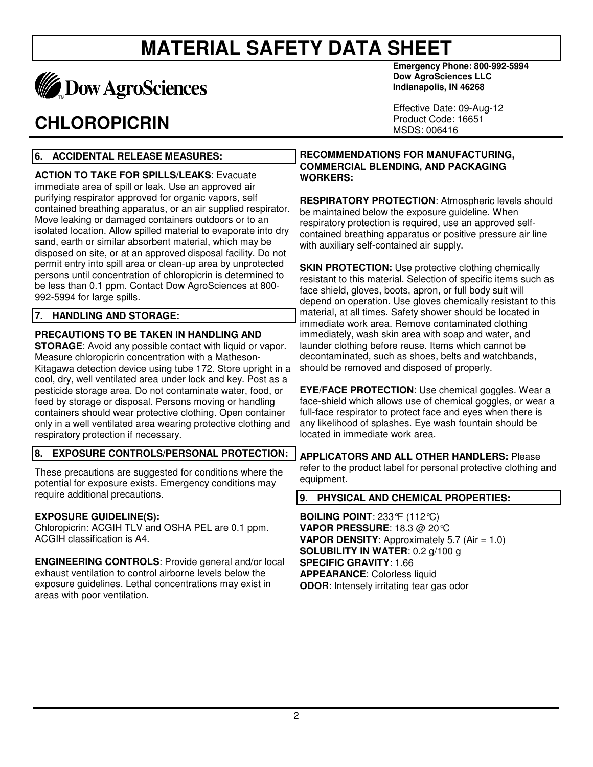

## **CHLOROPICRIN**

**Emergency Phone: 800-992-5994 Dow AgroSciences LLC Indianapolis, IN 46268** 

Effective Date: 09-Aug-12 Product Code: 16651 MSDS: 006416

## **6. ACCIDENTAL RELEASE MEASURES:**

**ACTION TO TAKE FOR SPILLS/LEAKS**: Evacuate immediate area of spill or leak. Use an approved air purifying respirator approved for organic vapors, self contained breathing apparatus, or an air supplied respirator. Move leaking or damaged containers outdoors or to an isolated location. Allow spilled material to evaporate into dry sand, earth or similar absorbent material, which may be disposed on site, or at an approved disposal facility. Do not permit entry into spill area or clean-up area by unprotected persons until concentration of chloropicrin is determined to be less than 0.1 ppm. Contact Dow AgroSciences at 800- 992-5994 for large spills.

### **7. HANDLING AND STORAGE:**

## **PRECAUTIONS TO BE TAKEN IN HANDLING AND**

**STORAGE**: Avoid any possible contact with liquid or vapor. Measure chloropicrin concentration with a Matheson-Kitagawa detection device using tube 172. Store upright in a cool, dry, well ventilated area under lock and key. Post as a pesticide storage area. Do not contaminate water, food, or feed by storage or disposal. Persons moving or handling containers should wear protective clothing. Open container only in a well ventilated area wearing protective clothing and respiratory protection if necessary.

#### **8. EXPOSURE CONTROLS/PERSONAL PROTECTION:**

These precautions are suggested for conditions where the potential for exposure exists. Emergency conditions may require additional precautions.

### **EXPOSURE GUIDELINE(S):**

Chloropicrin: ACGIH TLV and OSHA PEL are 0.1 ppm. ACGIH classification is A4.

**ENGINEERING CONTROLS**: Provide general and/or local exhaust ventilation to control airborne levels below the exposure guidelines. Lethal concentrations may exist in areas with poor ventilation.

**RECOMMENDATIONS FOR MANUFACTURING, COMMERCIAL BLENDING, AND PACKAGING WORKERS:** 

**RESPIRATORY PROTECTION**: Atmospheric levels should be maintained below the exposure guideline. When respiratory protection is required, use an approved selfcontained breathing apparatus or positive pressure air line with auxiliary self-contained air supply.

**SKIN PROTECTION:** Use protective clothing chemically resistant to this material. Selection of specific items such as face shield, gloves, boots, apron, or full body suit will depend on operation. Use gloves chemically resistant to this material, at all times. Safety shower should be located in immediate work area. Remove contaminated clothing immediately, wash skin area with soap and water, and launder clothing before reuse. Items which cannot be decontaminated, such as shoes, belts and watchbands, should be removed and disposed of properly.

**EYE/FACE PROTECTION**: Use chemical goggles. Wear a face-shield which allows use of chemical goggles, or wear a full-face respirator to protect face and eyes when there is any likelihood of splashes. Eye wash fountain should be located in immediate work area.

**APPLICATORS AND ALL OTHER HANDLERS:** Please refer to the product label for personal protective clothing and equipment.

### **9. PHYSICAL AND CHEMICAL PROPERTIES:**

**BOILING POINT**: 233°F (112°C) **VAPOR PRESSURE**: 18.3 @ 20°C **VAPOR DENSITY:** Approximately 5.7 (Air = 1.0) **SOLUBILITY IN WATER**: 0.2 g/100 g **SPECIFIC GRAVITY**: 1.66 **APPEARANCE**: Colorless liquid **ODOR**: Intensely irritating tear gas odor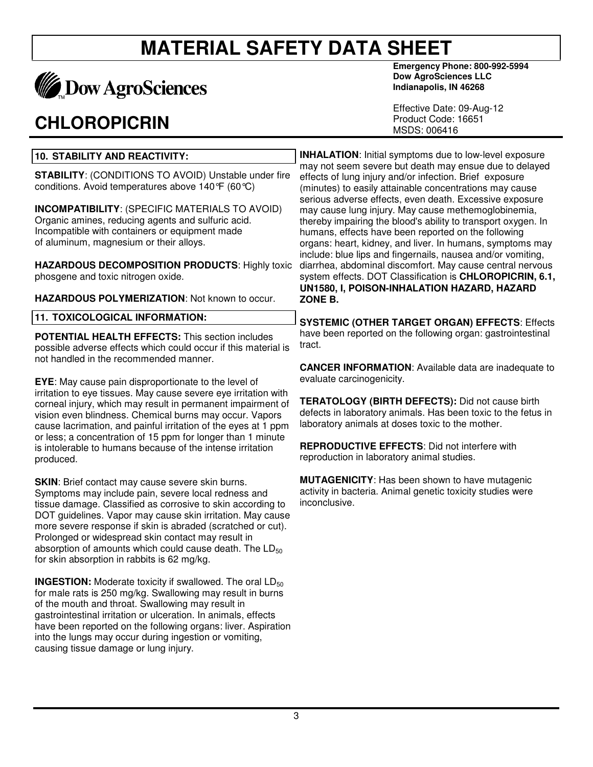

## **CHLOROPICRIN**

**Emergency Phone: 800-992-5994 Dow AgroSciences LLC Indianapolis, IN 46268** 

Effective Date: 09-Aug-12 Product Code: 16651 MSDS: 006416

## **10. STABILITY AND REACTIVITY:**

**STABILITY**: (CONDITIONS TO AVOID) Unstable under fire conditions. Avoid temperatures above 140°F (60°C)

**INCOMPATIBILITY**: (SPECIFIC MATERIALS TO AVOID) Organic amines, reducing agents and sulfuric acid. Incompatible with containers or equipment made of aluminum, magnesium or their alloys.

**HAZARDOUS DECOMPOSITION PRODUCTS**: Highly toxic phosgene and toxic nitrogen oxide.

**HAZARDOUS POLYMERIZATION**: Not known to occur.

|  | <b>11. TOXICOLOGICAL INFORMATION:</b> |  |
|--|---------------------------------------|--|
|--|---------------------------------------|--|

**POTENTIAL HEALTH EFFECTS:** This section includes possible adverse effects which could occur if this material is not handled in the recommended manner.

**EYE**: May cause pain disproportionate to the level of irritation to eye tissues. May cause severe eye irritation with corneal injury, which may result in permanent impairment of vision even blindness. Chemical burns may occur. Vapors cause lacrimation, and painful irritation of the eyes at 1 ppm or less; a concentration of 15 ppm for longer than 1 minute is intolerable to humans because of the intense irritation produced.

**SKIN:** Brief contact may cause severe skin burns. Symptoms may include pain, severe local redness and tissue damage. Classified as corrosive to skin according to DOT guidelines. Vapor may cause skin irritation. May cause more severe response if skin is abraded (scratched or cut). Prolonged or widespread skin contact may result in absorption of amounts which could cause death. The  $LD_{50}$ for skin absorption in rabbits is 62 mg/kg.

**INGESTION:** Moderate toxicity if swallowed. The oral LD<sub>50</sub> for male rats is 250 mg/kg. Swallowing may result in burns of the mouth and throat. Swallowing may result in gastrointestinal irritation or ulceration. In animals, effects have been reported on the following organs: liver. Aspiration into the lungs may occur during ingestion or vomiting, causing tissue damage or lung injury.

**INHALATION**: Initial symptoms due to low-level exposure may not seem severe but death may ensue due to delayed effects of lung injury and/or infection. Brief exposure (minutes) to easily attainable concentrations may cause serious adverse effects, even death. Excessive exposure may cause lung injury. May cause methemoglobinemia, thereby impairing the blood's ability to transport oxygen. In humans, effects have been reported on the following organs: heart, kidney, and liver. In humans, symptoms may include: blue lips and fingernails, nausea and/or vomiting, diarrhea, abdominal discomfort. May cause central nervous system effects. DOT Classification is **CHLOROPICRIN, 6.1, UN1580, I, POISON-INHALATION HAZARD, HAZARD ZONE B.**

**SYSTEMIC (OTHER TARGET ORGAN) EFFECTS**: Effects have been reported on the following organ: gastrointestinal tract.

**CANCER INFORMATION**: Available data are inadequate to evaluate carcinogenicity.

**TERATOLOGY (BIRTH DEFECTS):** Did not cause birth defects in laboratory animals. Has been toxic to the fetus in laboratory animals at doses toxic to the mother.

**REPRODUCTIVE EFFECTS**: Did not interfere with reproduction in laboratory animal studies.

**MUTAGENICITY**: Has been shown to have mutagenic activity in bacteria. Animal genetic toxicity studies were inconclusive.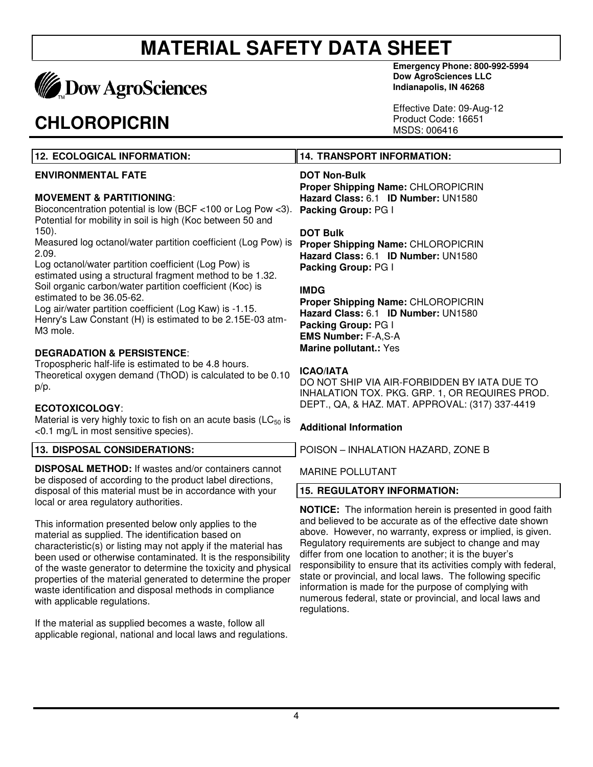

## **CHLOROPICRIN**

**Emergency Phone: 800-992-5994 Dow AgroSciences LLC Indianapolis, IN 46268** 

Effective Date: 09-Aug-12 Product Code: 16651 MSDS: 006416

## **12. ECOLOGICAL INFORMATION: ENVIRONMENTAL FATE**

## **MOVEMENT & PARTITIONING**:

Bioconcentration potential is low (BCF <100 or Log Pow <3). Potential for mobility in soil is high (Koc between 50 and 150).

Measured log octanol/water partition coefficient (Log Pow) is 2.09.

Log octanol/water partition coefficient (Log Pow) is estimated using a structural fragment method to be 1.32. Soil organic carbon/water partition coefficient (Koc) is estimated to be 36.05-62.

Log air/water partition coefficient (Log Kaw) is -1.15. Henry's Law Constant (H) is estimated to be 2.15E-03 atm-M3 mole.

## **DEGRADATION & PERSISTENCE**:

Tropospheric half-life is estimated to be 4.8 hours. Theoretical oxygen demand (ThOD) is calculated to be 0.10 p/p.

## **ECOTOXICOLOGY**:

Material is very highly toxic to fish on an acute basis ( $LC_{50}$  is <0.1 mg/L in most sensitive species).

## **13. DISPOSAL CONSIDERATIONS:**

**DISPOSAL METHOD:** If wastes and/or containers cannot be disposed of according to the product label directions, disposal of this material must be in accordance with your local or area regulatory authorities.

This information presented below only applies to the material as supplied. The identification based on characteristic(s) or listing may not apply if the material has been used or otherwise contaminated. It is the responsibility of the waste generator to determine the toxicity and physical properties of the material generated to determine the proper waste identification and disposal methods in compliance with applicable regulations.

If the material as supplied becomes a waste, follow all applicable regional, national and local laws and regulations.

## **14. TRANSPORT INFORMATION:**

## **DOT Non-Bulk**

**Proper Shipping Name:** CHLOROPICRIN **Hazard Class:** 6.1 **ID Number:** UN1580 **Packing Group:** PG I

#### **DOT Bulk**

**Proper Shipping Name:** CHLOROPICRIN **Hazard Class:** 6.1 **ID Number:** UN1580 **Packing Group:** PG I

### **IMDG**

**Proper Shipping Name:** CHLOROPICRIN **Hazard Class:** 6.1 **ID Number:** UN1580 **Packing Group:** PG I **EMS Number:** F-A,S-A **Marine pollutant.:** Yes

#### **ICAO/IATA**

DO NOT SHIP VIA AIR-FORBIDDEN BY IATA DUE TO INHALATION TOX. PKG. GRP. 1, OR REQUIRES PROD. DEPT., QA, & HAZ. MAT. APPROVAL: (317) 337-4419

### **Additional Information**

POISON – INHALATION HAZARD, ZONE B

MARINE POLLUTANT

### **15. REGULATORY INFORMATION:**

**NOTICE:** The information herein is presented in good faith and believed to be accurate as of the effective date shown above. However, no warranty, express or implied, is given. Regulatory requirements are subject to change and may differ from one location to another; it is the buyer's responsibility to ensure that its activities comply with federal, state or provincial, and local laws. The following specific information is made for the purpose of complying with numerous federal, state or provincial, and local laws and regulations.